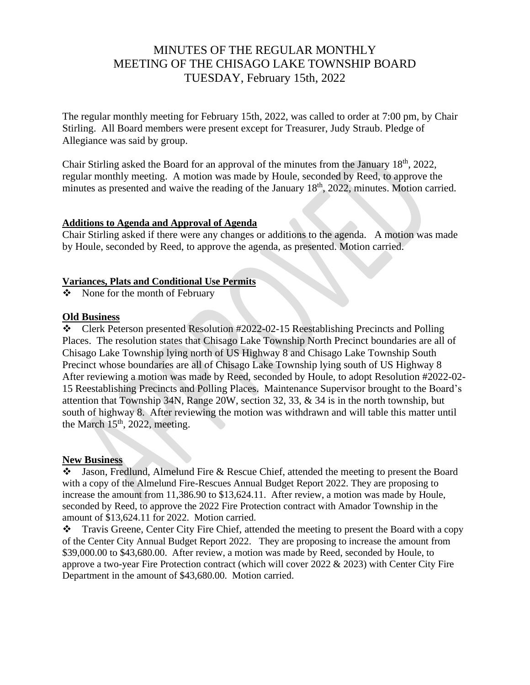# MINUTES OF THE REGULAR MONTHLY MEETING OF THE CHISAGO LAKE TOWNSHIP BOARD TUESDAY, February 15th, 2022

The regular monthly meeting for February 15th, 2022, was called to order at 7:00 pm, by Chair Stirling. All Board members were present except for Treasurer, Judy Straub. Pledge of Allegiance was said by group.

Chair Stirling asked the Board for an approval of the minutes from the January 18th, 2022, regular monthly meeting. A motion was made by Houle, seconded by Reed, to approve the minutes as presented and waive the reading of the January 18<sup>th</sup>, 2022, minutes. Motion carried.

### **Additions to Agenda and Approval of Agenda**

Chair Stirling asked if there were any changes or additions to the agenda. A motion was made by Houle, seconded by Reed, to approve the agenda, as presented. Motion carried.

#### **Variances, Plats and Conditional Use Permits**

❖ None for the month of February

# **Old Business**

❖ Clerk Peterson presented Resolution #2022-02-15 Reestablishing Precincts and Polling Places. The resolution states that Chisago Lake Township North Precinct boundaries are all of Chisago Lake Township lying north of US Highway 8 and Chisago Lake Township South Precinct whose boundaries are all of Chisago Lake Township lying south of US Highway 8 After reviewing a motion was made by Reed, seconded by Houle, to adopt Resolution #2022-02- 15 Reestablishing Precincts and Polling Places. Maintenance Supervisor brought to the Board's attention that Township 34N, Range 20W, section 32, 33, & 34 is in the north township, but south of highway 8. After reviewing the motion was withdrawn and will table this matter until the March  $15<sup>th</sup>$ , 2022, meeting.

#### **New Business**

❖ Jason, Fredlund, Almelund Fire & Rescue Chief, attended the meeting to present the Board with a copy of the Almelund Fire-Rescues Annual Budget Report 2022. They are proposing to increase the amount from 11,386.90 to \$13,624.11. After review, a motion was made by Houle, seconded by Reed, to approve the 2022 Fire Protection contract with Amador Township in the amount of \$13,624.11 for 2022. Motion carried.

❖ Travis Greene, Center City Fire Chief, attended the meeting to present the Board with a copy of the Center City Annual Budget Report 2022. They are proposing to increase the amount from \$39,000.00 to \$43,680.00. After review, a motion was made by Reed, seconded by Houle, to approve a two-year Fire Protection contract (which will cover  $2022 \& 2023$ ) with Center City Fire Department in the amount of \$43,680.00. Motion carried.